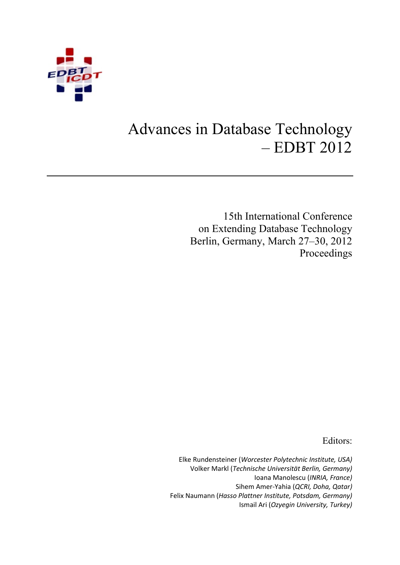

# Advances in Database Technology – EDBT 2012

15th International Conference on Extending Database Technology Berlin, Germany, March 27–30, 2012 Proceedings

Editors:

Elke Rundensteiner (*Worcester Polytechnic Institute, USA)* Volker Markl (*Technische Universität Berlin, Germany)* Ioana Manolescu (*INRIA, France)* Sihem Amer-Yahia (*QCRI, Doha, Qatar)* Felix Naumann (*Hasso Plattner Institute, Potsdam, Germany)* Ismail Ari (*Ozyegin University, Turkey)*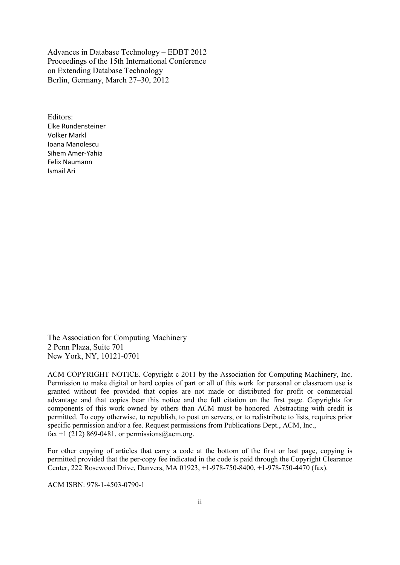Advances in Database Technology – EDBT 2012 Proceedings of the 15th International Conference on Extending Database Technology Berlin, Germany, March 27–30, 2012

Editors: Elke Rundensteiner Volker Markl Ioana Manolescu Sihem Amer-Yahia Felix Naumann Ismail Ari

The Association for Computing Machinery 2 Penn Plaza, Suite 701 New York, NY, 10121-0701

ACM COPYRIGHT NOTICE. Copyright c 2011 by the Association for Computing Machinery, Inc. Permission to make digital or hard copies of part or all of this work for personal or classroom use is granted without fee provided that copies are not made or distributed for profit or commercial advantage and that copies bear this notice and the full citation on the first page. Copyrights for components of this work owned by others than ACM must be honored. Abstracting with credit is permitted. To copy otherwise, to republish, to post on servers, or to redistribute to lists, requires prior specific permission and/or a fee. Request permissions from Publications Dept., ACM, Inc., fax +1 (212) 869-0481, or permissions  $(a)$  acm.org.

For other copying of articles that carry a code at the bottom of the first or last page, copying is permitted provided that the per-copy fee indicated in the code is paid through the Copyright Clearance Center, 222 Rosewood Drive, Danvers, MA 01923, +1-978-750-8400, +1-978-750-4470 (fax).

ACM ISBN: 978-1-4503-0790-1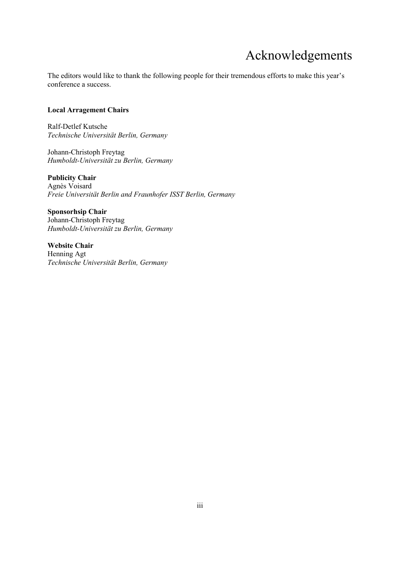## Acknowledgements

The editors would like to thank the following people for their tremendous efforts to make this year's conference a success.

#### **Local Arragement Chairs**

Ralf-Detlef Kutsche *Technische Universität Berlin, Germany*

Johann-Christoph Freytag *Humboldt-Universität zu Berlin, Germany* 

**Publicity Chair**  Agnès Voisard *Freie Universität Berlin and Fraunhofer ISST Berlin, Germany* 

**Sponsorhsip Chair**  Johann-Christoph Freytag *Humboldt-Universität zu Berlin, Germany* 

**Website Chair**  Henning Agt *Technische Universität Berlin, Germany*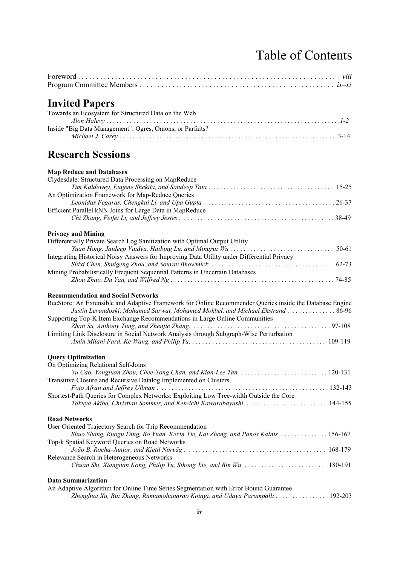# Table of Contents

| <b>Invited Papers</b>                                                                                                                                                                                                                                                                                                |
|----------------------------------------------------------------------------------------------------------------------------------------------------------------------------------------------------------------------------------------------------------------------------------------------------------------------|
| Towards an Ecosystem for Structured Data on the Web                                                                                                                                                                                                                                                                  |
| Inside "Big Data Management": Ogres, Onions, or Parfaits?                                                                                                                                                                                                                                                            |
| <b>Research Sessions</b>                                                                                                                                                                                                                                                                                             |
| <b>Map Reduce and Databases</b>                                                                                                                                                                                                                                                                                      |
| Clydesdale: Structured Data Processing on MapReduce                                                                                                                                                                                                                                                                  |
| An Optimization Framework for Map-Reduce Queries                                                                                                                                                                                                                                                                     |
| Efficient Parallel kNN Joins for Large Data in MapReduce                                                                                                                                                                                                                                                             |
|                                                                                                                                                                                                                                                                                                                      |
| <b>Privacy and Mining</b>                                                                                                                                                                                                                                                                                            |
| Differentially Private Search Log Sanitization with Optimal Output Utility                                                                                                                                                                                                                                           |
| Integrating Historical Noisy Answers for Improving Data Utility under Differential Privacy                                                                                                                                                                                                                           |
| Mining Probabilistically Frequent Sequential Patterns in Uncertain Databases                                                                                                                                                                                                                                         |
|                                                                                                                                                                                                                                                                                                                      |
| <b>Recommendation and Social Networks</b><br>RecStore: An Extensible and Adaptive Framework for Online Recommender Queries inside the Database Engine<br>Justin Levandoski, Mohamed Sarwat, Mohamed Mokbel, and Michael Ekstrand 86-96<br>Supporting Top-K Item Exchange Recommendations in Large Online Communities |
| Limiting Link Disclosure in Social Network Analysis through Subgraph-Wise Perturbation                                                                                                                                                                                                                               |
| <b>Query Optimization</b>                                                                                                                                                                                                                                                                                            |
| On Optimizing Relational Self-Joins                                                                                                                                                                                                                                                                                  |
| Transitive Closure and Recursive Datalog Implemented on Clusters<br>Foto Afrati and Jeffrey Ullman                                                                                                                                                                                                                   |
| Shortest-Path Queries for Complex Networks: Exploiting Low Tree-width Outside the Core<br>Takuya Akiba, Christian Sommer, and Ken-ichi Kawarabayashi 144-155                                                                                                                                                         |
| <b>Road Networks</b>                                                                                                                                                                                                                                                                                                 |
| User Oriented Trajectory Search for Trip Recommendation<br>Shuo Shang, Ruogu Ding, Bo Yuan, Kexin Xie, Kai Zheng, and Panos Kalnis 156-167                                                                                                                                                                           |
| Top-k Spatial Keyword Queries on Road Networks                                                                                                                                                                                                                                                                       |
| Relevance Search in Heterogeneous Networks<br>Chuan Shi, Xiangnan Kong, Philip Yu, Sihong Xie, and Bin Wu  180-191                                                                                                                                                                                                   |
| <b>Data Summarization</b>                                                                                                                                                                                                                                                                                            |
| An Adaptive Algorithm for Online Time Series Segmentation with Error Bound Guarantee<br>Zhenghua Xu, Rui Zhang, Ramamohanarao Kotagi, and Udaya Parampalli 192-203                                                                                                                                                   |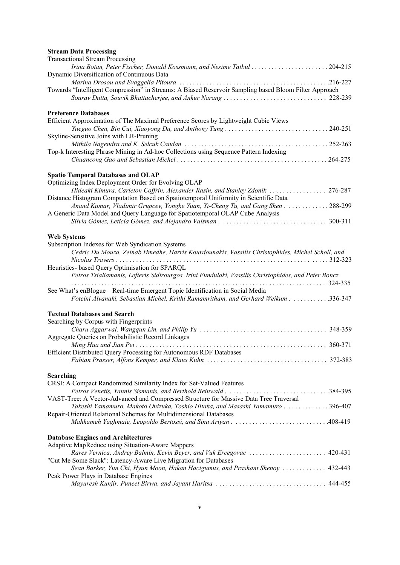### **Stream Data Processing**

| <b>Transactional Stream Processing</b>                                                                                                             |           |
|----------------------------------------------------------------------------------------------------------------------------------------------------|-----------|
| Irina Botan, Peter Fischer, Donald Kossmann, and Nesime Tatbul 204-215                                                                             |           |
| Dynamic Diversification of Continuous Data                                                                                                         |           |
| Towards "Intelligent Compression" in Streams: A Biased Reservoir Sampling based Bloom Filter Approach                                              |           |
|                                                                                                                                                    |           |
|                                                                                                                                                    |           |
| <b>Preference Databases</b>                                                                                                                        |           |
| Efficient Approximation of The Maximal Preference Scores by Lightweight Cubic Views                                                                |           |
|                                                                                                                                                    |           |
| Skyline-Sensitive Joins with LR-Pruning                                                                                                            |           |
| Top-k Interesting Phrase Mining in Ad-hoc Collections using Sequence Pattern Indexing                                                              |           |
|                                                                                                                                                    |           |
|                                                                                                                                                    |           |
| <b>Spatio Temporal Databases and OLAP</b>                                                                                                          |           |
| Optimizing Index Deployment Order for Evolving OLAP                                                                                                |           |
| Hideaki Kimura, Carleton Coffrin, Alexander Rasin, and Stanley Zdonik  276-287                                                                     |           |
| Distance Histogram Computation Based on Spatiotemporal Uniformity in Scientific Data                                                               |           |
| Anand Kumar, Vladimir Grupcev, Yongke Yuan, Yi-Cheng Tu, and Gang Shen 288-299                                                                     |           |
| A Generic Data Model and Query Language for Spatiotemporal OLAP Cube Analysis                                                                      |           |
|                                                                                                                                                    |           |
| <b>Web Systems</b>                                                                                                                                 |           |
| Subscription Indexes for Web Syndication Systems                                                                                                   |           |
| Cedric Du Mouza, Zeinab Hmedhe, Harris Kourdounakis, Vassilis Christophides, Michel Scholl, and                                                    |           |
| Nicolas Travers                                                                                                                                    |           |
| Heuristics- based Query Optimisation for SPARQL                                                                                                    |           |
| Petros Tsialiamanis, Lefteris Sidirourgos, Irini Fundulaki, Vassilis Christophides, and Peter Boncz                                                | . 324-335 |
| See What's enBlogue - Real-time Emergent Topic Identification in Social Media                                                                      |           |
| Foteini Alvanaki, Sebastian Michel, Krithi Ramamritham, and Gerhard Weikum 336-347                                                                 |           |
|                                                                                                                                                    |           |
| <b>Textual Databases and Search</b>                                                                                                                |           |
| Searching by Corpus with Fingerprints                                                                                                              |           |
|                                                                                                                                                    |           |
| Aggregate Queries on Probabilistic Record Linkages                                                                                                 |           |
| Efficient Distributed Query Processing for Autonomous RDF Databases                                                                                |           |
|                                                                                                                                                    |           |
|                                                                                                                                                    |           |
| <b>Searching</b>                                                                                                                                   |           |
| CRSI: A Compact Randomized Similarity Index for Set-Valued Features                                                                                |           |
|                                                                                                                                                    |           |
| VAST-Tree: A Vector-Advanced and Compressed Structure for Massive Data Tree Traversal                                                              |           |
| Takeshi Yamamuro, Makoto Onizuka, Toshio Hitaka, and Masashi Yamamuro 396-407<br>Repair-Oriented Relational Schemas for Multidimensional Databases |           |
|                                                                                                                                                    |           |
|                                                                                                                                                    |           |
| <b>Database Engines and Architectures</b>                                                                                                          |           |
| Adaptive MapReduce using Situation-Aware Mappers                                                                                                   |           |
| Rares Vernica, Andrey Balmin, Kevin Beyer, and Vuk Ercegovac  420-431                                                                              |           |
| "Cut Me Some Slack": Latency-Aware Live Migration for Databases                                                                                    |           |
| Sean Barker, Yun Chi, Hyun Moon, Hakan Hacigumus, and Prashant Shenoy  432-443<br>Peak Power Plays in Database Engines                             |           |
|                                                                                                                                                    |           |
|                                                                                                                                                    |           |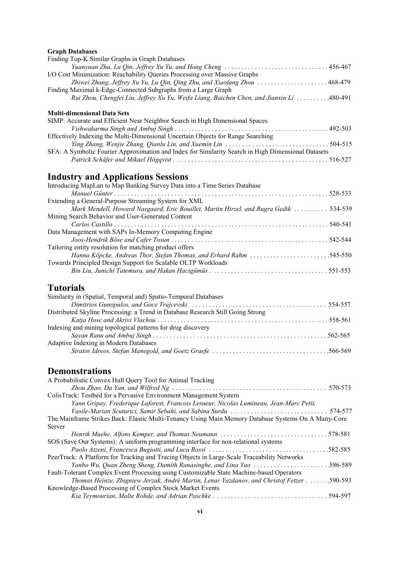### **Graph Databases**

| Finding Top-K Similar Graphs in Graph Databases                                                     |  |
|-----------------------------------------------------------------------------------------------------|--|
|                                                                                                     |  |
| I/O Cost Minimization: Reachability Queries Processing over Massive Graphs                          |  |
| Zhiwei Zhang, Jeffrey Xu Yu, Lu Qin, Qing Zhu, and Xiaofang Zhou  468-479                           |  |
| Finding Maximal k-Edge-Connected Subgraphs from a Large Graph                                       |  |
| Rui Zhou, Chengfei Liu, Jeffrey Xu Yu, Weifa Liang, Baichen Chen, and Jianxin Li  . 480-491         |  |
| <b>Multi-dimensional Data Sets</b>                                                                  |  |
| SIMP: Accurate and Efficient Near Neighbor Search in High Dimensional Spaces                        |  |
|                                                                                                     |  |
| Effectively Indexing the Multi-Dimensional Uncertain Objects for Range Searching                    |  |
|                                                                                                     |  |
| SFA: A Symbolic Fourier Approximation and Index for Similarity Search in High Dimensional Datasets  |  |
|                                                                                                     |  |
| <b>Industry and Applications Sessions</b>                                                           |  |
| Introducing MapLan to Map Banking Survey Data into a Time Series Database                           |  |
|                                                                                                     |  |
| Extending a General-Purpose Streaming System for XML                                                |  |
| Mark Mendell, Howard Nasgaard, Eric Bouillet, Martin Hirzel, and Bugra Gedik  534-539               |  |
| Mining Search Behavior and User-Generated Content                                                   |  |
| Carlos Castillo                                                                                     |  |
| Data Management with SAPs In-Memory Computing Engine                                                |  |
|                                                                                                     |  |
| Tailoring entity resolution for matching product offers                                             |  |
| Hanna Köpcke, Andreas Thor, Stefan Thomas, and Erhard Rahm 545-550                                  |  |
| Towards Principled Design Support for Scalable OLTP Workloads                                       |  |
|                                                                                                     |  |
| <b>Tutorials</b>                                                                                    |  |
| Similarity in (Spatial, Temporal and) Spatio-Temporal Databases                                     |  |
|                                                                                                     |  |
| Distributed Skyline Processing: a Trend in Database Research Still Going Strong                     |  |
|                                                                                                     |  |
| Indexing and mining topological patterns for drug discovery                                         |  |
|                                                                                                     |  |
| Adaptive Indexing in Modern Databases                                                               |  |
|                                                                                                     |  |
|                                                                                                     |  |
| <b>Demonstrations</b>                                                                               |  |
| A Probabilistic Convex Hull Query Tool for Animal Tracking                                          |  |
|                                                                                                     |  |
| ColisTrack: Testbed for a Pervasive Environment Management System                                   |  |
| Yann Gripay, Frederique Laforest, Francois Lesueur, Nicolas Lumineau, Jean-Marc Petit,              |  |
|                                                                                                     |  |
| The Mainframe Strikes Back: Elastic Multi-Tenancy Using Main Memory Database Systems On A Many-Core |  |
| Server                                                                                              |  |
|                                                                                                     |  |
| SOS (Save Our Systems): A uniform programming interface for non-relational systems                  |  |
|                                                                                                     |  |
| PeerTrack: A Platform for Tracking and Tracing Objects in Large-Scale Traceability Networks         |  |
|                                                                                                     |  |
| Fault-Tolerant Complex Event Processing using Customizable State Machine-based Operators            |  |
| Thomas Heinze, Zbigniew Jerzak, André Martin, Lenar Yazdanov, and Christof Fetzer 590-593           |  |
| Knowledge-Based Processing of Complex Stock Market Events                                           |  |
|                                                                                                     |  |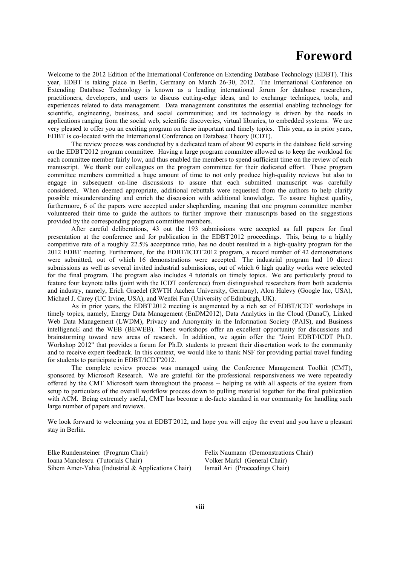## **Foreword**

Welcome to the 2012 Edition of the International Conference on Extending Database Technology (EDBT). This year, EDBT is taking place in Berlin, Germany on March 26-30, 2012. The International Conference on Extending Database Technology is known as a leading international forum for database researchers, practitioners, developers, and users to discuss cutting-edge ideas, and to exchange techniques, tools, and experiences related to data management. Data management constitutes the essential enabling technology for scientific, engineering, business, and social communities; and its technology is driven by the needs in applications ranging from the social web, scientific discoveries, virtual libraries, to embedded systems. We are very pleased to offer you an exciting program on these important and timely topics. This year, as in prior years, EDBT is co-located with the International Conference on Database Theory (ICDT).

The review process was conducted by a dedicated team of about 90 experts in the database field serving on the EDBT'2012 program committee. Having a large program committee allowed us to keep the workload for each committee member fairly low, and thus enabled the members to spend sufficient time on the review of each manuscript. We thank our colleagues on the program committee for their dedicated effort. These program committee members committed a huge amount of time to not only produce high-quality reviews but also to engage in subsequent on-line discussions to assure that each submitted manuscript was carefully considered. When deemed appropriate, additional rebuttals were requested from the authors to help clarify possible misunderstanding and enrich the discussion with additional knowledge. To assure highest quality, furthermore, 6 of the papers were accepted under shepherding, meaning that one program committee member volunteered their time to guide the authors to further improve their manuscripts based on the suggestions provided by the corresponding program committee members.

After careful deliberations, 43 out the 193 submissions were accepted as full papers for final presentation at the conference and for publication in the EDBT'2012 proceedings. This, being to a highly competitive rate of a roughly 22.5% acceptance ratio, has no doubt resulted in a high-quality program for the 2012 EDBT meeting. Furthermore, for the EDBT/ICDT'2012 program, a record number of 42 demonstrations were submitted, out of which 16 demonstrations were accepted. The industrial program had 10 direct submissions as well as several invited industrial submissions, out of which 6 high quality works were selected for the final program. The program also includes 4 tutorials on timely topics. We are particularly proud to feature four keynote talks (joint with the ICDT conference) from distinguished researchers from both academia and industry, namely, Erich Graedel (RWTH Aachen University, Germany), Alon Halevy (Google Inc, USA), Michael J. Carey (UC Irvine, USA), and Wenfei Fan (University of Edinburgh, UK).

As in prior years, the EDBT'2012 meeting is augmented by a rich set of EDBT/ICDT workshops in timely topics, namely, Energy Data Management (EnDM2012), Data Analytics in the Cloud (DanaC), Linked Web Data Management (LWDM), Privacy and Anonymity in the Information Society (PAIS), and Business intelligencE and the WEB (BEWEB). These workshops offer an excellent opportunity for discussions and brainstorming toward new areas of research. In addition, we again offer the "Joint EDBT/ICDT Ph.D. Workshop 2012" that provides a forum for Ph.D. students to present their dissertation work to the community and to receive expert feedback. In this context, we would like to thank NSF for providing partial travel funding for students to participate in EDBT/ICDT'2012.

The complete review process was managed using the Conference Management Toolkit (CMT), sponsored by Microsoft Research. We are grateful for the professional responsiveness we were repeatedly offered by the CMT Microsoft team throughout the process -- helping us with all aspects of the system from setup to particulars of the overall workflow process down to pulling material together for the final publication with ACM. Being extremely useful, CMT has become a de-facto standard in our community for handling such large number of papers and reviews.

We look forward to welcoming you at EDBT'2012, and hope you will enjoy the event and you have a pleasant stay in Berlin.

Elke Rundensteiner (Program Chair) Ioana Manolescu (Tutorials Chair) Sihem Amer-Yahia (Industrial & Applications Chair) Felix Naumann (Demonstrations Chair) Volker Markl (General Chair) Ismail Ari (Proceedings Chair)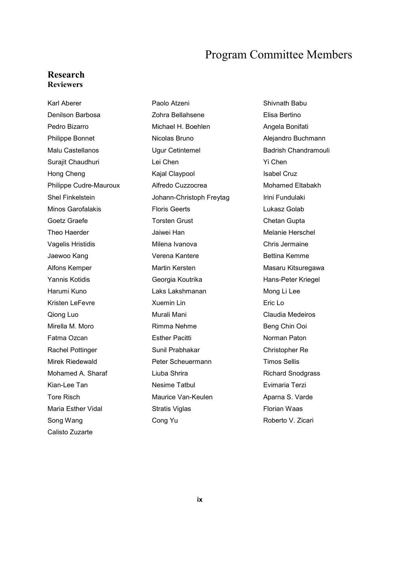### Program Committee Members

### **Research Reviewers**

Karl Aberer **Paolo Atzeni** Paolo Atzeni Shivnath Babu Denilson Barbosa Zohra Bellahsene Elisa Bertino Pedro Bizarro **Michael H. Boehlen** Angela Bonifati Philippe Bonnet **Nicolas Bruno Alejandro Buchmann** Malu Castellanos **Ugur Cetintemel** Badrish Chandramouli Surajit Chaudhuri **Lei Chen** Lei Chen Yi Chen Hong Cheng **Internal Claypool** Kajal Claypool **Isabel Cruz** Philippe Cudre-Mauroux **Alfredo Cuzzocrea** Mohamed Eltabakh Shel Finkelstein **Shel Finnelstein** Johann-Christoph Freytag Irini Fundulaki Minos Garofalakis Floris Geerts Lukasz Golab Goetz Graefe Torsten Grust Chetan Gupta Theo Haerder Jaiwei Han Melanie Herschel Vagelis Hristidis **Vagelis Hristidis** Milena Ivanova **Chris Jermaine** Jaewoo Kang **Verena Kantere** Bettina Kemme Alfons Kemper **Martin Kersten** Martin Kersten Masaru Kitsuregawa Yannis Kotidis **Francisch Congress** Georgia Koutrika **Hans-Peter Kriegel** Harumi Kuno Laks Lakshmanan Mong Li Lee Kristen LeFevre Xuemin Lin Eric Lo Qiong Luo Murali Mani Claudia Medeiros Mirella M. Moro **Rimma Nehme** Beng Chin Ooi Fatma Ozcan **Esther Pacitti Extract Contains Container Paton** Norman Paton Rachel Pottinger Sunil Prabhakar Christopher Re Mirek Riedewald Peter Scheuermann Timos Sellis Mohamed A. Sharaf **Liuba Shrira** Richard Snodgrass Richard Snodgrass Kian-Lee Tan **Nesime Tatbul** Evimaria Terzi Tore Risch **Maurice Van-Keulen** Aparna S. Varde Maria Esther Vidal **Stratis Viglas** Florian Waas **Florian Waas** Song Wang **Cong Yu** Cong Yu Roberto V. Zicari Calisto Zuzarte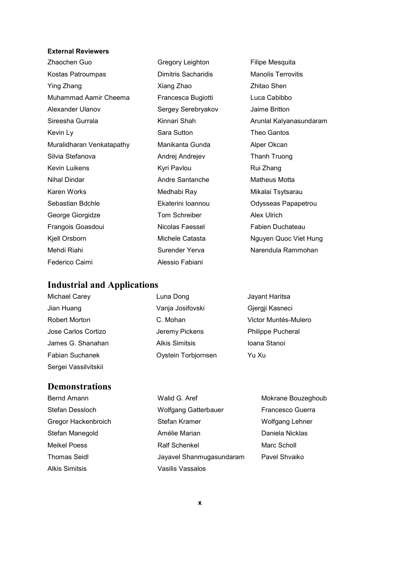### **External Reviewers**

|                     | Filipe Mesquita           |
|---------------------|---------------------------|
| Dimitris Sacharidis | <b>Manolis Terrovitis</b> |
| Xiang Zhao          | Zhitao Shen               |
| Francesca Bugiotti  | Luca Cabibbo              |
| Sergey Serebryakov  | Jaime Britton             |
| Kinnari Shah        | Arunlal Kalyanasundaram   |
| Sara Sutton         | Theo Gantos               |
| Manikanta Gunda     | Alper Okcan               |
| Andrej Andrejev     | Thanh Truong              |
| Kyri Pavlou         | Rui Zhang                 |
| Andre Santanche     | Matheus Motta             |
| Medhabi Ray         | Mikalai Tsytsarau         |
| Ekaterini Ioannou   | Odysseas Papapetrou       |
| Tom Schreiber       | <b>Alex Ulrich</b>        |
| Nicolas Faessel     | Fabien Duchateau          |
| Michele Catasta     | Nguyen Quoc Viet Hung     |
| Surender Yerva      | Narendula Rammohan        |
| Alessio Fabiani     |                           |
|                     | Gregory Leighton          |

## **Industrial and Applications**

| <b>Michael Carey</b>   | Luna Dong             | Jayant Haritsa           |
|------------------------|-----------------------|--------------------------|
| Jian Huang             | Vanja Josifovski      | Gjergji Kasneci          |
| <b>Robert Morton</b>   | C. Mohan              | Victor Muntés-Mulero     |
| Jose Carlos Cortizo    | Jeremy Pickens        | <b>Philippe Pucheral</b> |
| James G. Shanahan      | <b>Alkis Simitsis</b> | Ioana Stanoi             |
| <b>Fabian Suchanek</b> | Oystein Torbjornsen   | Yu Xu                    |
| Sergei Vassilvitskii   |                       |                          |

### **Demonstrations**

| Bernd Amann           | Walid G. Aref               | Mokrane Bouzeghoub |
|-----------------------|-----------------------------|--------------------|
| Stefan Dessloch       | <b>Wolfgang Gatterbauer</b> | Francesco Guerra   |
| Gregor Hackenbroich   | Stefan Kramer               | Wolfgang Lehner    |
| Stefan Manegold       | Amélie Marian               | Daniela Nicklas    |
| <b>Meikel Poess</b>   | <b>Ralf Schenkel</b>        | Marc Scholl        |
| <b>Thomas Seidl</b>   | Jayavel Shanmugasundaram    | Pavel Shvaiko      |
| <b>Alkis Simitsis</b> | <b>Vasilis Vassalos</b>     |                    |